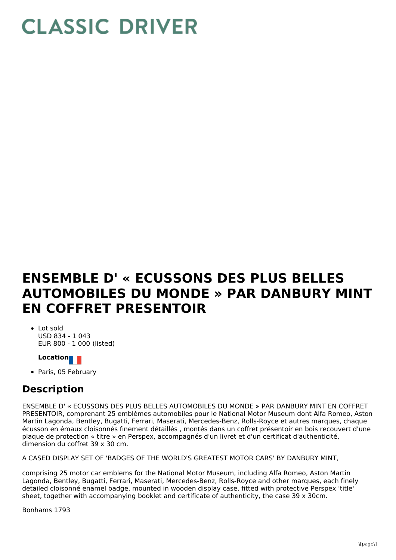## **CLASSIC DRIVER**

## **ENSEMBLE D' « ECUSSONS DES PLUS BELLES AUTOMOBILES DU MONDE » PAR DANBURY MINT EN COFFRET PRESENTOIR**

• Lot sold USD 834 - 1 043 EUR 800 - 1 000 (listed)

## **Location**

• Paris, 05 February

## **Description**

ENSEMBLE D' « ECUSSONS DES PLUS BELLES AUTOMOBILES DU MONDE » PAR DANBURY MINT EN COFFRET PRESENTOIR, comprenant 25 emblèmes automobiles pour le National Motor Museum dont Alfa Romeo, Aston Martin Lagonda, Bentley, Bugatti, Ferrari, Maserati, Mercedes-Benz, Rolls-Royce et autres marques, chaque écusson en émaux cloisonnés finement détaillés , montés dans un coffret présentoir en bois recouvert d'une plaque de protection « titre » en Perspex, accompagnés d'un livret et d'un certificat d'authenticité, dimension du coffret 39 x 30 cm.

A CASED DISPLAY SET OF 'BADGES OF THE WORLD'S GREATEST MOTOR CARS' BY DANBURY MINT,

comprising 25 motor car emblems for the National Motor Museum, including Alfa Romeo, Aston Martin Lagonda, Bentley, Bugatti, Ferrari, Maserati, Mercedes-Benz, Rolls-Royce and other marques, each finely detailed cloisonné enamel badge, mounted in wooden display case, fitted with protective Perspex 'title' sheet, together with accompanying booklet and certificate of authenticity, the case 39 x 30cm.

Bonhams 1793